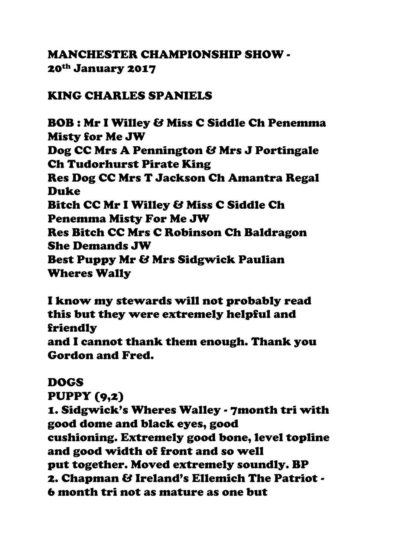# MANCHESTER CHAMPIONSHIP SHOW - 20th January 2017

## KING CHARLES SPANIELS

BOB : Mr I Willey & Miss C Siddle Ch Penemma Misty for Me JW Dog CC Mrs A Pennington & Mrs J Portingale Ch Tudorhurst Pirate King Res Dog CC Mrs T Jackson Ch Amantra Regal Duke Bitch CC Mr I Willey & Miss C Siddle Ch Penemma Misty For Me JW Res Bitch CC Mrs C Robinson Ch Baldragon She Demands JW Best Puppy Mr & Mrs Sidgwick Paulian Wheres Wally

I know my stewards will not probably read this but they were extremely helpful and friendly and I cannot thank them enough. Thank you Gordon and Fred.

## DOGS

PUPPY (9,2)

1. Sidgwick's Wheres Walley - 7month tri with good dome and black eyes, good cushioning. Extremely good bone, level topline and good width of front and so well put together. Moved extremely soundly. BP 2. Chapman & Ireland's Ellemich The Patriot - 6 month tri not as mature as one but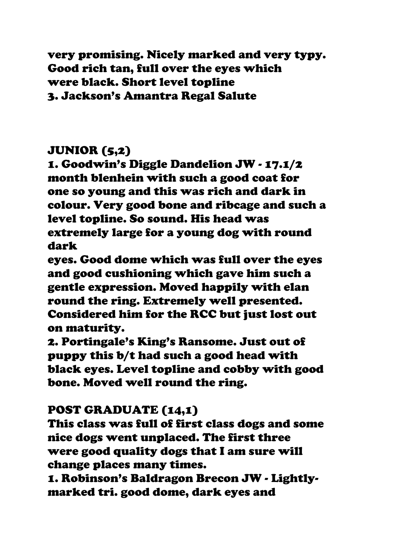very promising. Nicely marked and very typy. Good rich tan, full over the eyes which were black. Short level topline 3. Jackson's Amantra Regal Salute

# JUNIOR (5,2)

1. Goodwin's Diggle Dandelion JW - 17.1/2 month blenhein with such a good coat for one so young and this was rich and dark in colour. Very good bone and ribcage and such a level topline. So sound. His head was extremely large for a young dog with round dark

eyes. Good dome which was full over the eyes and good cushioning which gave him such a gentle expression. Moved happily with elan round the ring. Extremely well presented. Considered him for the RCC but just lost out on maturity.

2. Portingale's King's Ransome. Just out of puppy this b/t had such a good head with black eyes. Level topline and cobby with good bone. Moved well round the ring.

## POST GRADUATE (14,1)

This class was full of first class dogs and some nice dogs went unplaced. The first three were good quality dogs that I am sure will change places many times.

1. Robinson's Baldragon Brecon JW - Lightlymarked tri. good dome, dark eyes and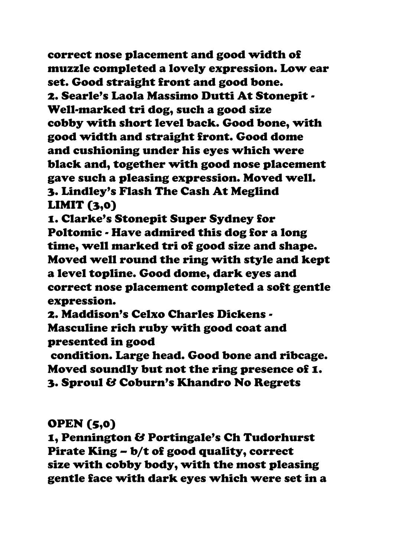correct nose placement and good width of muzzle completed a lovely expression. Low ear set. Good straight front and good bone. 2. Searle's Laola Massimo Dutti At Stonepit - Well-marked tri dog, such a good size cobby with short level back. Good bone, with good width and straight front. Good dome and cushioning under his eyes which were black and, together with good nose placement gave such a pleasing expression. Moved well. 3. Lindley's Flash The Cash At Meglind LIMIT (3,0)

1. Clarke's Stonepit Super Sydney for Poltomic - Have admired this dog for a long time, well marked tri of good size and shape. Moved well round the ring with style and kept a level topline. Good dome, dark eyes and correct nose placement completed a soft gentle expression.

2. Maddison's Celxo Charles Dickens - Masculine rich ruby with good coat and presented in good

condition. Large head. Good bone and ribcage. Moved soundly but not the ring presence of 1. 3. Sproul & Coburn's Khandro No Regrets

# OPEN (5,0)

1, Pennington & Portingale's Ch Tudorhurst Pirate King – b/t of good quality, correct size with cobby body, with the most pleasing gentle face with dark eyes which were set in a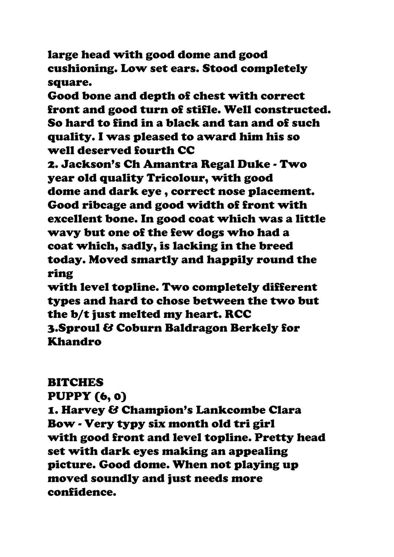large head with good dome and good cushioning. Low set ears. Stood completely square.

Good bone and depth of chest with correct front and good turn of stifle. Well constructed. So hard to find in a black and tan and of such quality. I was pleased to award him his so well deserved fourth CC

2. Jackson's Ch Amantra Regal Duke - Two year old quality Tricolour, with good dome and dark eye , correct nose placement. Good ribcage and good width of front with excellent bone. In good coat which was a little wavy but one of the few dogs who had a coat which, sadly, is lacking in the breed today. Moved smartly and happily round the ring

with level topline. Two completely different types and hard to chose between the two but the b/t just melted my heart. RCC 3.Sproul & Coburn Baldragon Berkely for Khandro

#### **BITCHES**

PUPPY (6, 0)

1. Harvey & Champion's Lankcombe Clara Bow - Very typy six month old tri girl with good front and level topline. Pretty head set with dark eyes making an appealing picture. Good dome. When not playing up moved soundly and just needs more confidence.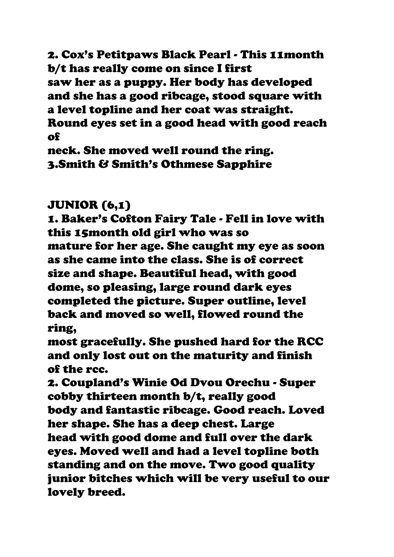2. Cox's Petitpaws Black Pearl - This 11month b/t has really come on since I first saw her as a puppy. Her body has developed and she has a good ribcage, stood square with a level topline and her coat was straight. Round eyes set in a good head with good reach of

neck. She moved well round the ring. 3.Smith & Smith's Othmese Sapphire

# JUNIOR (6,1)

1. Baker's Cofton Fairy Tale - Fell in love with this 15month old girl who was so mature for her age. She caught my eye as soon as she came into the class. She is of correct size and shape. Beautiful head, with good dome, so pleasing, large round dark eyes completed the picture. Super outline, level back and moved so well, flowed round the ring,

most gracefully. She pushed hard for the RCC and only lost out on the maturity and finish of the rcc.

2. Coupland's Winie Od Dvou Orechu - Super cobby thirteen month b/t, really good body and fantastic ribcage. Good reach. Loved her shape. She has a deep chest. Large head with good dome and full over the dark eyes. Moved well and had a level topline both standing and on the move. Two good quality junior bitches which will be very useful to our lovely breed.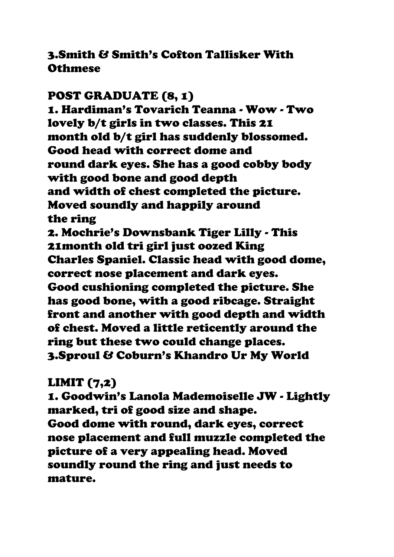## 3.Smith & Smith's Cofton Tallisker With **Othmese**

## POST GRADUATE (8, 1)

1. Hardiman's Tovarich Teanna - Wow - Two lovely b/t girls in two classes. This 21 month old b/t girl has suddenly blossomed. Good head with correct dome and round dark eyes. She has a good cobby body with good bone and good depth and width of chest completed the picture. Moved soundly and happily around the ring 2. Mochrie's Downsbank Tiger Lilly - This 21month old tri girl just oozed King Charles Spaniel. Classic head with good dome, correct nose placement and dark eyes. Good cushioning completed the picture. She

has good bone, with a good ribcage. Straight front and another with good depth and width of chest. Moved a little reticently around the ring but these two could change places. 3.Sproul & Coburn's Khandro Ur My World

## LIMIT (7,2)

1. Goodwin's Lanola Mademoiselle JW - Lightly marked, tri of good size and shape. Good dome with round, dark eyes, correct nose placement and full muzzle completed the picture of a very appealing head. Moved soundly round the ring and just needs to mature.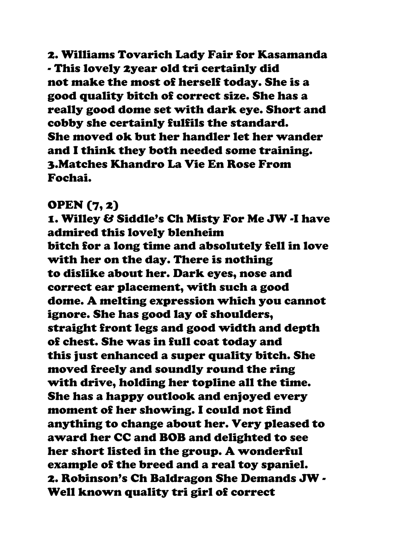2. Williams Tovarich Lady Fair for Kasamanda - This lovely 2year old tri certainly did not make the most of herself today. She is a good quality bitch of correct size. She has a really good dome set with dark eye. Short and cobby she certainly fulfils the standard. She moved ok but her handler let her wander and I think they both needed some training. 3.Matches Khandro La Vie En Rose From Fochai.

#### OPEN (7, 2)

1. Willey & Siddle's Ch Misty For Me JW -I have admired this lovely blenheim bitch for a long time and absolutely fell in love with her on the day. There is nothing to dislike about her. Dark eyes, nose and correct ear placement, with such a good dome. A melting expression which you cannot ignore. She has good lay of shoulders, straight front legs and good width and depth of chest. She was in full coat today and this just enhanced a super quality bitch. She moved freely and soundly round the ring with drive, holding her topline all the time. She has a happy outlook and enjoyed every moment of her showing. I could not find anything to change about her. Very pleased to award her CC and BOB and delighted to see her short listed in the group. A wonderful example of the breed and a real toy spaniel. 2. Robinson's Ch Baldragon She Demands JW - Well known quality tri girl of correct